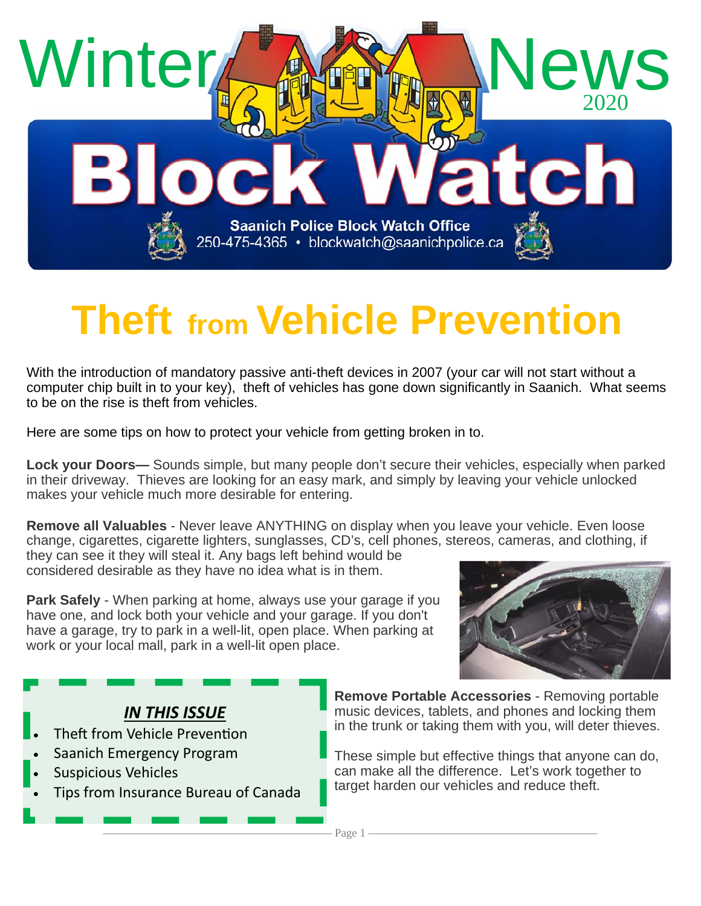

# **Theft from Vehicle Prevention**

With the introduction of mandatory passive anti-theft devices in 2007 (your car will not start without a computer chip built in to your key), theft of vehicles has gone down significantly in Saanich. What seems to be on the rise is theft from vehicles.

Here are some tips on how to protect your vehicle from getting broken in to.

**Lock your Doors—** Sounds simple, but many people don't secure their vehicles, especially when parked in their driveway. Thieves are looking for an easy mark, and simply by leaving your vehicle unlocked makes your vehicle much more desirable for entering.

**Remove all Valuables** - Never leave ANYTHING on display when you leave your vehicle. Even loose change, cigarettes, cigarette lighters, sunglasses, CD's, cell phones, stereos, cameras, and clothing, if

they can see it they will steal it. Any bags left behind would be considered desirable as they have no idea what is in them.

**Park Safely** - When parking at home, always use your garage if you have one, and lock both your vehicle and your garage. If you don't have a garage, try to park in a well-lit, open place. When parking at work or your local mall, park in a well-lit open place.



#### *IN THIS ISSUE*

- Theft from Vehicle Prevention
- Saanich Emergency Program
- Suspicious Vehicles
- Tips from Insurance Bureau of Canada

**Remove Portable Accessories** - Removing portable music devices, tablets, and phones and locking them in the trunk or taking them with you, will deter thieves.

These simple but effective things that anyone can do, can make all the difference. Let's work together to target harden our vehicles and reduce theft.

———————————————————— Page 1 ————————————————————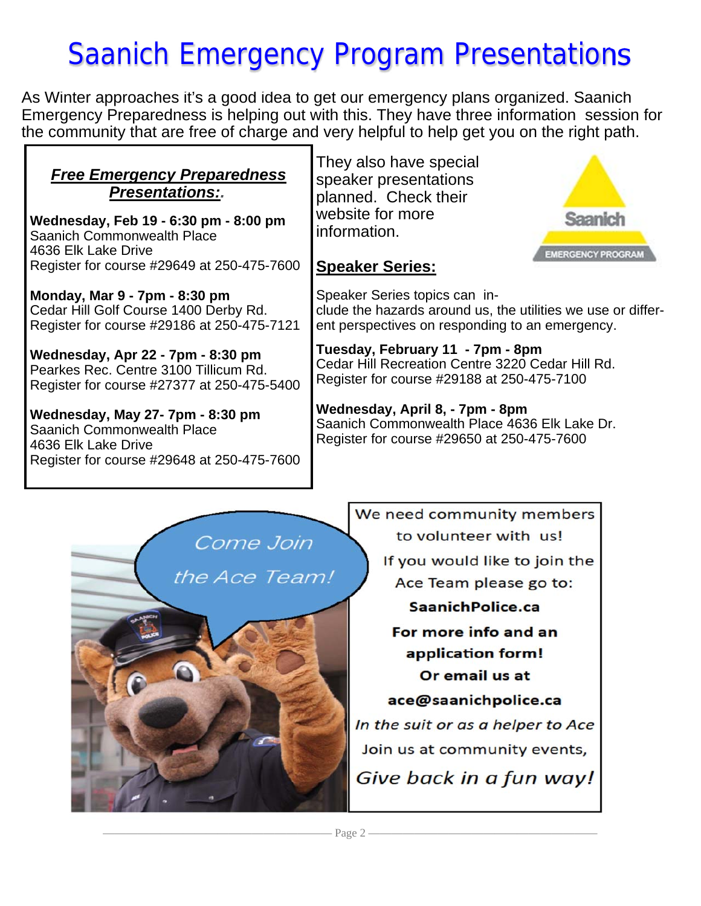## Saanich Emergency Program Presentations

As Winter approaches it's a good idea to get our emergency plans organized. Saanich Emergency Preparedness is helping out with this. They have three information session for the community that are free of charge and very helpful to help get you on the right path.

| speaker pres                  |
|-------------------------------|
| website for m<br>Information. |
|                               |

Register for course #29649 at 250-475-7600 **Monday, Mar 9 - 7pm - 8:30 pm**

Cedar Hill Golf Course 1400 Derby Rd. Register for course #29186 at 250-475-7121

**Wednesday, Apr 22 - 7pm - 8:30 pm** Pearkes Rec. Centre 3100 Tillicum Rd. Register for course #27377 at 250-475-5400

**Wednesday, May 27- 7pm - 8:30 pm** Saanich Commonwealth Place 4636 Elk Lake Drive Register for course #29648 at 250-475-7600 **They also have special** entations eck their hore

#### **Speaker Series:**



Speaker Series topics can include the hazards around us, the utilities we use or different perspectives on responding to an emergency.

**Tuesday, February 11 - 7pm - 8pm** Cedar Hill Recreation Centre 3220 Cedar Hill Rd. Register for course #29188 at 250-475-7100

**Wednesday, April 8, - 7pm - 8pm** Saanich Commonwealth Place 4636 Elk Lake Dr. Register for course #29650 at 250-475-7600



We need community members to volunteer with us! If you would like to join the Ace Team please go to: Saanich Police.ca For more info and an application form! Or email us at ace@saanichpolice.ca In the suit or as a helper to Ace Join us at community events, Give back in a fun way!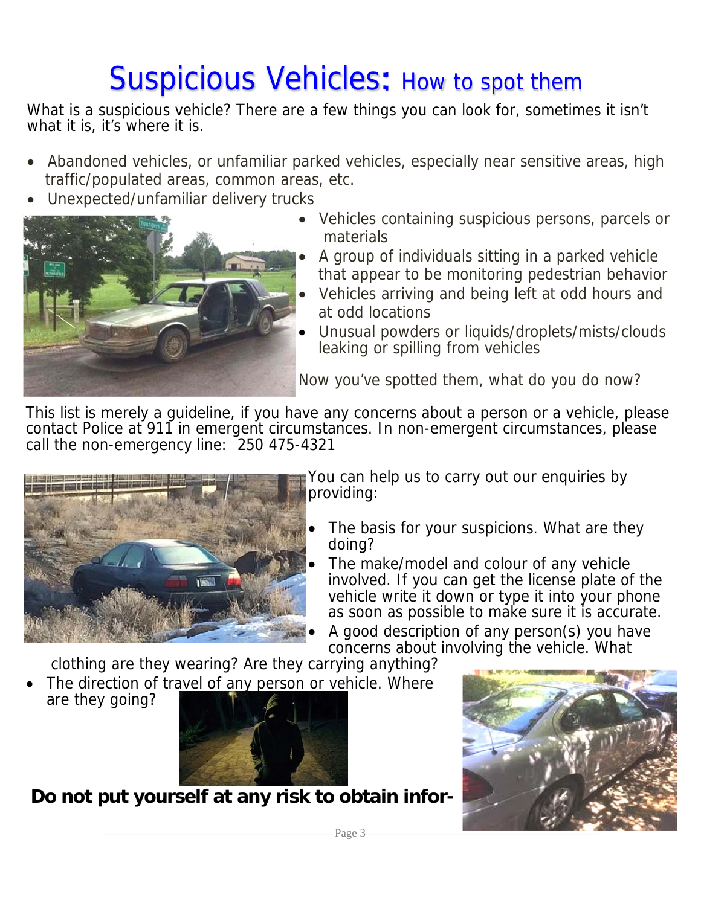## Suspicious Vehicles: How to spot them

What is a suspicious vehicle? There are a few things you can look for, sometimes it isn't what it is, it's where it is.

- Abandoned vehicles, or unfamiliar parked vehicles, especially near sensitive areas, high traffic/populated areas, common areas, etc.
- Unexpected/unfamiliar delivery trucks



- Vehicles containing suspicious persons, parcels or materials
- A group of individuals sitting in a parked vehicle that appear to be monitoring pedestrian behavior
- Vehicles arriving and being left at odd hours and at odd locations
- Unusual powders or liquids/droplets/mists/clouds leaking or spilling from vehicles

Now you've spotted them, what do you do now?

This list is merely a guideline, if you have any concerns about a person or a vehicle, please contact Police at 911 in emergent circumstances. In non-emergent circumstances, please call the non-emergency line: 250 475-4321



You can help us to carry out our enquiries by providing:

- The basis for your suspicions. What are they doing?
- The make/model and colour of any vehicle involved. If you can get the license plate of the vehicle write it down or type it into your phone as soon as possible to make sure it is accurate.
- A good description of any person(s) you have concerns about involving the vehicle. What

clothing are they wearing? Are they carrying anything?

 The direction of travel of any person or vehicle. Where are they going?



**Do not put yourself at any risk to obtain infor-**